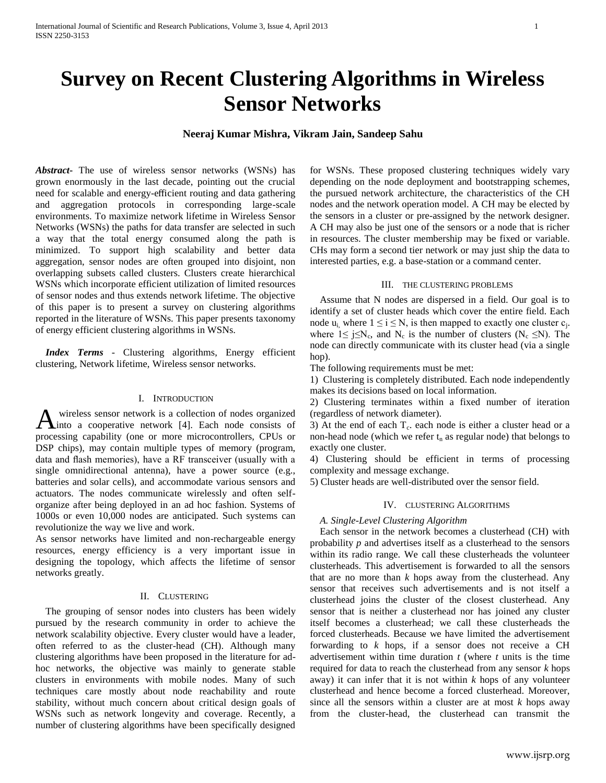# **Survey on Recent Clustering Algorithms in Wireless Sensor Networks**

## **Neeraj Kumar Mishra, Vikram Jain, Sandeep Sahu**

*Abstract***-** The use of wireless sensor networks (WSNs) has grown enormously in the last decade, pointing out the crucial need for scalable and energy-efficient routing and data gathering and aggregation protocols in corresponding large-scale environments. To maximize network lifetime in Wireless Sensor Networks (WSNs) the paths for data transfer are selected in such a way that the total energy consumed along the path is minimized. To support high scalability and better data aggregation, sensor nodes are often grouped into disjoint, non overlapping subsets called clusters. Clusters create hierarchical WSNs which incorporate efficient utilization of limited resources of sensor nodes and thus extends network lifetime. The objective of this paper is to present a survey on clustering algorithms reported in the literature of WSNs. This paper presents taxonomy of energy efficient clustering algorithms in WSNs.

 *Index Terms* - Clustering algorithms, Energy efficient clustering, Network lifetime, Wireless sensor networks.

#### I. INTRODUCTION

wireless sensor network is a collection of nodes organized A wireless sensor network is a collection of nodes organized<br>
Ainto a cooperative network [4]. Each node consists of processing capability (one or more microcontrollers, CPUs or DSP chips), may contain multiple types of memory (program, data and flash memories), have a RF transceiver (usually with a single omnidirectional antenna), have a power source (e.g., batteries and solar cells), and accommodate various sensors and actuators. The nodes communicate wirelessly and often selforganize after being deployed in an ad hoc fashion. Systems of 1000s or even 10,000 nodes are anticipated. Such systems can revolutionize the way we live and work.

As sensor networks have limited and non-rechargeable energy resources, energy efficiency is a very important issue in designing the topology, which affects the lifetime of sensor networks greatly.

## II. CLUSTERING

 The grouping of sensor nodes into clusters has been widely pursued by the research community in order to achieve the network scalability objective. Every cluster would have a leader, often referred to as the cluster-head (CH). Although many clustering algorithms have been proposed in the literature for adhoc networks, the objective was mainly to generate stable clusters in environments with mobile nodes. Many of such techniques care mostly about node reachability and route stability, without much concern about critical design goals of WSNs such as network longevity and coverage. Recently, a number of clustering algorithms have been specifically designed

for WSNs. These proposed clustering techniques widely vary depending on the node deployment and bootstrapping schemes, the pursued network architecture, the characteristics of the CH nodes and the network operation model. A CH may be elected by the sensors in a cluster or pre-assigned by the network designer. A CH may also be just one of the sensors or a node that is richer in resources. The cluster membership may be fixed or variable. CHs may form a second tier network or may just ship the data to interested parties, e.g. a base-station or a command center.

## III. THE CLUSTERING PROBLEMS

 Assume that N nodes are dispersed in a field. Our goal is to identify a set of cluster heads which cover the entire field. Each node  $u_i$ , where  $1 \le i \le N$ , is then mapped to exactly one cluster  $c_j$ . where  $1 \le j \le N_c$ , and  $N_c$  is the number of clusters  $(N_c \le N)$ . The node can directly communicate with its cluster head (via a single hop).

The following requirements must be met:

1) Clustering is completely distributed. Each node independently makes its decisions based on local information.

2) Clustering terminates within a fixed number of iteration (regardless of network diameter).

3) At the end of each  $T_c$  each node is either a cluster head or a non-head node (which we refer  $t_n$  as regular node) that belongs to exactly one cluster.

4) Clustering should be efficient in terms of processing complexity and message exchange.

5) Cluster heads are well-distributed over the sensor field.

## IV. CLUSTERING ALGORITHMS

 *A. Single-Level Clustering Algorithm*

 Each sensor in the network becomes a clusterhead (CH) with probability *p* and advertises itself as a clusterhead to the sensors within its radio range. We call these clusterheads the volunteer clusterheads. This advertisement is forwarded to all the sensors that are no more than *k* hops away from the clusterhead. Any sensor that receives such advertisements and is not itself a clusterhead joins the cluster of the closest clusterhead. Any sensor that is neither a clusterhead nor has joined any cluster itself becomes a clusterhead; we call these clusterheads the forced clusterheads. Because we have limited the advertisement forwarding to *k* hops, if a sensor does not receive a CH advertisement within time duration *t* (where *t* units is the time required for data to reach the clusterhead from any sensor *k* hops away) it can infer that it is not within *k* hops of any volunteer clusterhead and hence become a forced clusterhead. Moreover, since all the sensors within a cluster are at most *k* hops away from the cluster-head, the clusterhead can transmit the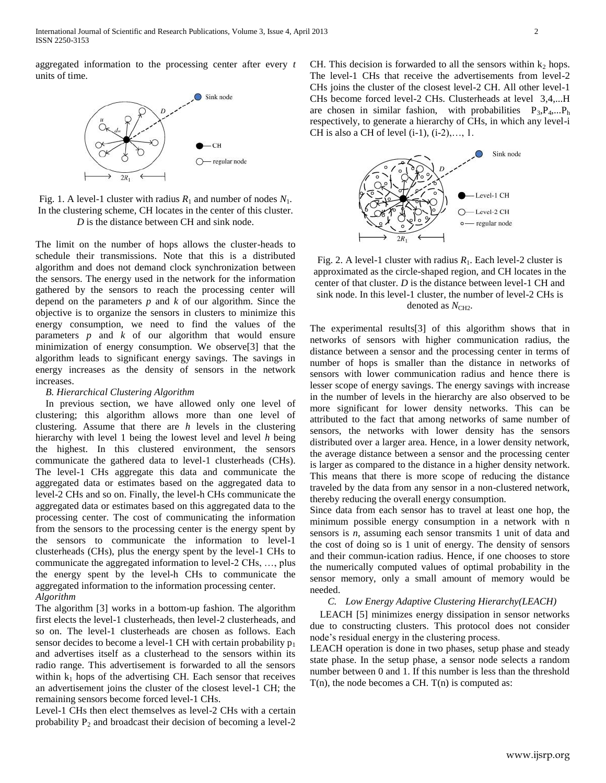aggregated information to the processing center after every *t* units of time.



Fig. 1. A level-1 cluster with radius  $R_1$  and number of nodes  $N_1$ . In the clustering scheme, CH locates in the center of this cluster. *D* is the distance between CH and sink node.

The limit on the number of hops allows the cluster-heads to schedule their transmissions. Note that this is a distributed algorithm and does not demand clock synchronization between the sensors. The energy used in the network for the information gathered by the sensors to reach the processing center will depend on the parameters *p* and *k* of our algorithm. Since the objective is to organize the sensors in clusters to minimize this energy consumption, we need to find the values of the parameters *p* and *k* of our algorithm that would ensure minimization of energy consumption. We observe[3] that the algorithm leads to significant energy savings. The savings in energy increases as the density of sensors in the network increases.

## *B. Hierarchical Clustering Algorithm*

 In previous section, we have allowed only one level of clustering; this algorithm allows more than one level of clustering. Assume that there are *h* levels in the clustering hierarchy with level 1 being the lowest level and level *h* being the highest. In this clustered environment, the sensors communicate the gathered data to level-1 clusterheads (CHs). The level-1 CHs aggregate this data and communicate the aggregated data or estimates based on the aggregated data to level-2 CHs and so on. Finally, the level-h CHs communicate the aggregated data or estimates based on this aggregated data to the processing center. The cost of communicating the information from the sensors to the processing center is the energy spent by the sensors to communicate the information to level-1 clusterheads (CHs), plus the energy spent by the level-1 CHs to communicate the aggregated information to level-2 CHs, …, plus the energy spent by the level-h CHs to communicate the aggregated information to the information processing center. *Algorithm* 

The algorithm [3] works in a bottom-up fashion. The algorithm first elects the level-1 clusterheads, then level-2 clusterheads, and so on. The level-1 clusterheads are chosen as follows. Each sensor decides to become a level-1 CH with certain probability  $p_1$ and advertises itself as a clusterhead to the sensors within its radio range. This advertisement is forwarded to all the sensors within  $k_1$  hops of the advertising CH. Each sensor that receives an advertisement joins the cluster of the closest level-1 CH; the remaining sensors become forced level-1 CHs.

Level-1 CHs then elect themselves as level-2 CHs with a certain probability  $P_2$  and broadcast their decision of becoming a level-2 CH. This decision is forwarded to all the sensors within  $k_2$  hops. The level-1 CHs that receive the advertisements from level-2 CHs joins the cluster of the closest level-2 CH. All other level-1 CHs become forced level-2 CHs. Clusterheads at level 3,4,...H are chosen in similar fashion, with probabilities  $P_3, P_4,...P_h$ respectively, to generate a hierarchy of CHs, in which any level-i CH is also a CH of level  $(i-1)$ ,  $(i-2)$ ,  $(i-1)$ .



Fig. 2. A level-1 cluster with radius  $R_1$ . Each level-2 cluster is approximated as the circle-shaped region, and CH locates in the center of that cluster. *D* is the distance between level-1 CH and sink node. In this level-1 cluster, the number of level-2 CHs is denoted as  $N_{CH2}$ .

The experimental results[3] of this algorithm shows that in networks of sensors with higher communication radius, the distance between a sensor and the processing center in terms of number of hops is smaller than the distance in networks of sensors with lower communication radius and hence there is lesser scope of energy savings. The energy savings with increase in the number of levels in the hierarchy are also observed to be more significant for lower density networks. This can be attributed to the fact that among networks of same number of sensors, the networks with lower density has the sensors distributed over a larger area. Hence, in a lower density network, the average distance between a sensor and the processing center is larger as compared to the distance in a higher density network. This means that there is more scope of reducing the distance traveled by the data from any sensor in a non-clustered network, thereby reducing the overall energy consumption.

Since data from each sensor has to travel at least one hop, the minimum possible energy consumption in a network with n sensors is *n*, assuming each sensor transmits 1 unit of data and the cost of doing so is 1 unit of energy. The density of sensors and their commun-ication radius. Hence, if one chooses to store the numerically computed values of optimal probability in the sensor memory, only a small amount of memory would be needed.

## *C. Low Energy Adaptive Clustering Hierarchy(LEACH)*

 LEACH [5] minimizes energy dissipation in sensor networks due to constructing clusters. This protocol does not consider node"s residual energy in the clustering process.

LEACH operation is done in two phases, setup phase and steady state phase. In the setup phase, a sensor node selects a random number between 0 and 1. If this number is less than the threshold  $T(n)$ , the node becomes a CH.  $T(n)$  is computed as: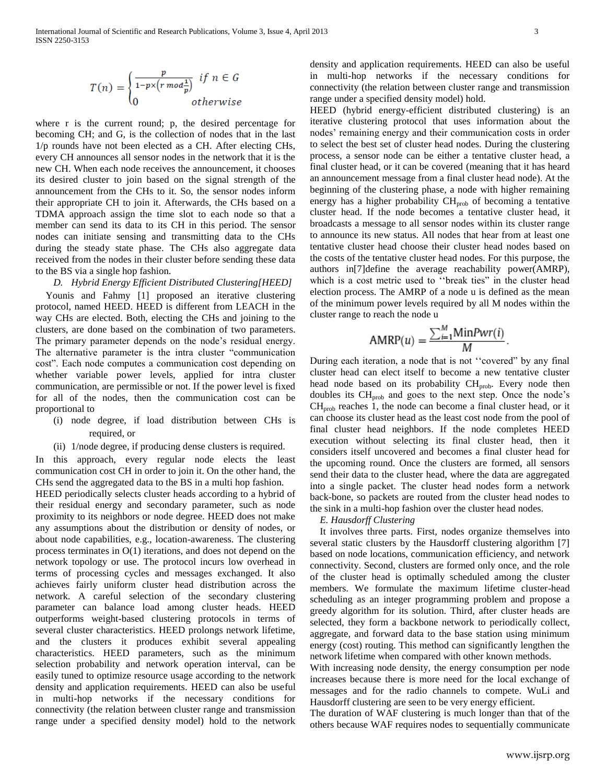$$
T(n) = \begin{cases} \frac{p}{1 - p \times (r \mod \frac{1}{p})} & \text{if } n \in G \\ 0 & \text{otherwise} \end{cases}
$$

where r is the current round; p, the desired percentage for becoming CH; and G, is the collection of nodes that in the last 1/p rounds have not been elected as a CH. After electing CHs, every CH announces all sensor nodes in the network that it is the new CH. When each node receives the announcement, it chooses its desired cluster to join based on the signal strength of the announcement from the CHs to it. So, the sensor nodes inform their appropriate CH to join it. Afterwards, the CHs based on a TDMA approach assign the time slot to each node so that a member can send its data to its CH in this period. The sensor nodes can initiate sensing and transmitting data to the CHs during the steady state phase. The CHs also aggregate data received from the nodes in their cluster before sending these data to the BS via a single hop fashion.

*D. Hybrid Energy Efficient Distributed Clustering[HEED]*

 Younis and Fahmy [1] proposed an iterative clustering protocol, named HEED. HEED is different from LEACH in the way CHs are elected. Both, electing the CHs and joining to the clusters, are done based on the combination of two parameters. The primary parameter depends on the node's residual energy. The alternative parameter is the intra cluster "communication cost". Each node computes a communication cost depending on whether variable power levels, applied for intra cluster communication, are permissible or not. If the power level is fixed for all of the nodes, then the communication cost can be proportional to

- (i) node degree, if load distribution between CHs is required, or
- (ii) 1/node degree, if producing dense clusters is required.

In this approach, every regular node elects the least communication cost CH in order to join it. On the other hand, the CHs send the aggregated data to the BS in a multi hop fashion.

HEED periodically selects cluster heads according to a hybrid of their residual energy and secondary parameter, such as node proximity to its neighbors or node degree. HEED does not make any assumptions about the distribution or density of nodes, or about node capabilities, e.g., location-awareness. The clustering process terminates in O(1) iterations, and does not depend on the network topology or use. The protocol incurs low overhead in terms of processing cycles and messages exchanged. It also achieves fairly uniform cluster head distribution across the network. A careful selection of the secondary clustering parameter can balance load among cluster heads. HEED outperforms weight-based clustering protocols in terms of several cluster characteristics. HEED prolongs network lifetime, and the clusters it produces exhibit several appealing characteristics. HEED parameters, such as the minimum selection probability and network operation interval, can be easily tuned to optimize resource usage according to the network density and application requirements. HEED can also be useful in multi-hop networks if the necessary conditions for connectivity (the relation between cluster range and transmission range under a specified density model) hold to the network

density and application requirements. HEED can also be useful in multi-hop networks if the necessary conditions for connectivity (the relation between cluster range and transmission range under a specified density model) hold.

HEED (hybrid energy-efficient distributed clustering) is an iterative clustering protocol that uses information about the nodes" remaining energy and their communication costs in order to select the best set of cluster head nodes. During the clustering process, a sensor node can be either a tentative cluster head, a final cluster head, or it can be covered (meaning that it has heard an announcement message from a final cluster head node). At the beginning of the clustering phase, a node with higher remaining energy has a higher probability CH<sub>prob</sub> of becoming a tentative cluster head. If the node becomes a tentative cluster head, it broadcasts a message to all sensor nodes within its cluster range to announce its new status. All nodes that hear from at least one tentative cluster head choose their cluster head nodes based on the costs of the tentative cluster head nodes. For this purpose, the authors in[7]define the average reachability power(AMRP), which is a cost metric used to "break ties" in the cluster head election process. The AMRP of a node u is defined as the mean of the minimum power levels required by all M nodes within the cluster range to reach the node u

$$
AMRP(u) = \frac{\sum_{i=1}^{M}MinPwr(i)}{M}
$$

During each iteration, a node that is not "covered" by any final cluster head can elect itself to become a new tentative cluster head node based on its probability CH<sub>prob</sub>. Every node then doubles its CH<sub>prob</sub> and goes to the next step. Once the node's  $CH<sub>prob</sub>$  reaches 1, the node can become a final cluster head, or it can choose its cluster head as the least cost node from the pool of final cluster head neighbors. If the node completes HEED execution without selecting its final cluster head, then it considers itself uncovered and becomes a final cluster head for the upcoming round. Once the clusters are formed, all sensors send their data to the cluster head, where the data are aggregated into a single packet. The cluster head nodes form a network back-bone, so packets are routed from the cluster head nodes to the sink in a multi-hop fashion over the cluster head nodes.

## *E. Hausdorff Clustering*

 It involves three parts. First, nodes organize themselves into several static clusters by the Hausdorff clustering algorithm [7] based on node locations, communication efficiency, and network connectivity. Second, clusters are formed only once, and the role of the cluster head is optimally scheduled among the cluster members. We formulate the maximum lifetime cluster-head scheduling as an integer programming problem and propose a greedy algorithm for its solution. Third, after cluster heads are selected, they form a backbone network to periodically collect, aggregate, and forward data to the base station using minimum energy (cost) routing. This method can significantly lengthen the network lifetime when compared with other known methods.

With increasing node density, the energy consumption per node increases because there is more need for the local exchange of messages and for the radio channels to compete. WuLi and Hausdorff clustering are seen to be very energy efficient.

The duration of WAF clustering is much longer than that of the others because WAF requires nodes to sequentially communicate